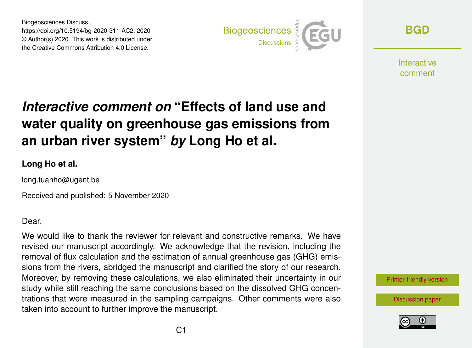Biogeosciences Discuss., https://doi.org/10.5194/bg-2020-311-AC2, 2020 © Author(s) 2020. This work is distributed under the Creative Commons Attribution 4.0 License.



**[BGD](https://bg.copernicus.org/preprints/)**

**Interactive** comment

## *Interactive comment on* **"Effects of land use and water quality on greenhouse gas emissions from an urban river system"** *by* **Long Ho et al.**

## **Long Ho et al.**

long.tuanho@ugent.be

Received and published: 5 November 2020

Dear,

We would like to thank the reviewer for relevant and constructive remarks. We have revised our manuscript accordingly. We acknowledge that the revision, including the removal of flux calculation and the estimation of annual greenhouse gas (GHG) emissions from the rivers, abridged the manuscript and clarified the story of our research. Moreover, by removing these calculations, we also eliminated their uncertainty in our study while still reaching the same conclusions based on the dissolved GHG concentrations that were measured in the sampling campaigns. Other comments were also taken into account to further improve the manuscript.

[Printer-friendly version](https://bg.copernicus.org/preprints/bg-2020-311/bg-2020-311-AC2-print.pdf)

[Discussion paper](https://bg.copernicus.org/preprints/bg-2020-311)